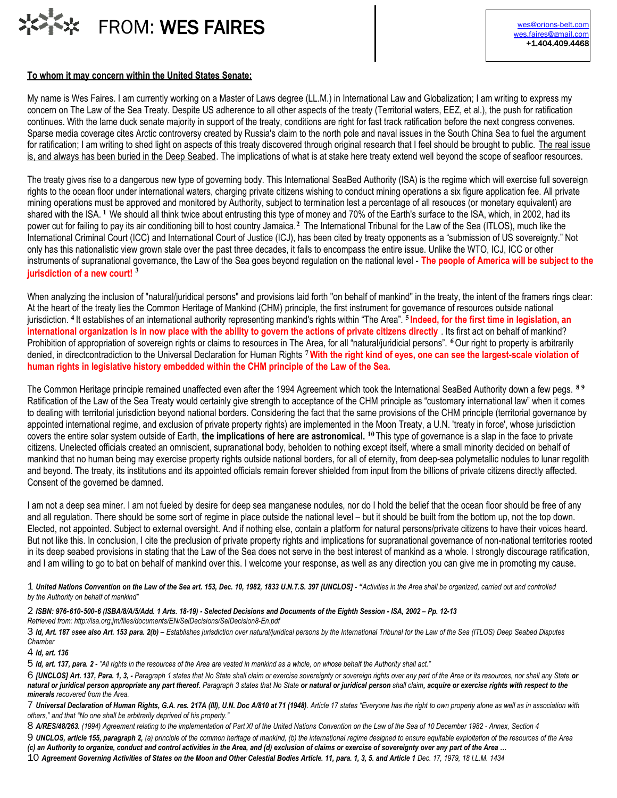

## **To whom it may concern within the United States Senate:**

My name is Wes Faires. I am currently working on a Master of Laws degree (LL.M.) in International Law and Globalization; I am writing to express my concern on The Law of the Sea Treaty. Despite US adherence to all other aspects of the treaty (Territorial waters, EEZ, et al.), the push for ratification continues. With the lame duck senate majority in support of the treaty, conditions are right for fast track ratification before the next congress convenes. Sparse media coverage cites Arctic controversy created by Russia's claim to the north pole and naval issues in the South China Sea to fuel the argument for ratification; I am writing to shed light on aspects of this treaty discovered through original research that I feel should be brought to public. The real issue is, and always has been buried in the Deep Seabed. The implications of what is at stake here treaty extend well beyond the scope of seafloor resources.

The treaty gives rise to a dangerous new type of governing body. This International SeaBed Authority (ISA) is the regime which will exercise full sovereign rights to the ocean floor under international waters, charging private citizens wishing to conduct mining operations a six figure application fee. All private mining operations must be approved and monitored by Authority, subject to termination lest a percentage of all resouces (or monetary equivalent) are shared with the ISA. **<sup>1</sup>**We should all think twice about entrusting this type of money and 70% of the Earth's surface to the ISA, which, in 2002, had its power cut for failing to pay its air conditioning bill to host country Jamaica.<sup>2</sup> The International Tribunal for the Law of the Sea (ITLOS), much like the International Criminal Court (ICC) and International Court of Justice (ICJ), has been cited by treaty opponents as a "submission of US sovereignty." Not only has this nationalistic view grown stale over the past three decades, it fails to encompass the entire issue. Unlike the WTO, ICJ, ICC or other instruments of supranational governance, the Law of the Sea goes beyond regulation on the national level - **The people of America will be subject to the jurisdiction of a new court! <sup>3</sup>**

When analyzing the inclusion of "natural/juridical persons" and provisions laid forth "on behalf of mankind" in the treaty, the intent of the framers rings clear: At the heart of the treaty lies the Common Heritage of Mankind (CHM) principle, the first instrument for governance of resources outside national jurisdiction. **<sup>4</sup>**It establishes of an international authority representing mankind's rights within "The Area". **<sup>5</sup> Indeed, for the first time in legislation, an international organization is in now place with the ability to govern the actions of private citizens directly** . Its first act on behalf of mankind? Prohibition of appropriation of sovereign rights or claims to resources in The Area, for all "natural/juridicial persons". **<sup>6</sup>**Our right to property is arbitrarily denied, in directcontradiction to the Universal Declaration for Human Rights **<sup>7</sup>With the right kind of eyes, one can see the largest-scale violation of human rights in legislative history embedded within the CHM principle of the Law of the Sea.**

The Common Heritage principle remained unaffected even after the 1994 Agreement which took the International SeaBed Authority down a few pegs. **8 9** Ratification of the Law of the Sea Treaty would certainly give strength to acceptance of the CHM principle as "customary international law" when it comes to dealing with territorial jurisdiction beyond national borders. Considering the fact that the same provisions of the CHM principle (territorial governance by appointed international regime, and exclusion of private property rights) are implemented in the Moon Treaty, a U.N. 'treaty in force', whose jurisdiction covers the entire solar system outside of Earth, **the implications of here are astronomical. <sup>10</sup>** This type of governance is a slap in the face to private citizens. Unelected officials created an omniscient, supranational body, beholden to nothing except itself, where a small minority decided on behalf of mankind that no human being may exercise property rights outside national borders, for all of eternity, from deep-sea polymetallic nodules to lunar regolith and beyond. The treaty, its institutions and its appointed officials remain forever shielded from input from the billions of private citizens directly affected. Consent of the governed be damned.

I am not a deep sea miner. I am not fueled by desire for deep sea manganese nodules, nor do I hold the belief that the ocean floor should be free of any and all regulation. There should be some sort of regime in place outside the national level – but it should be built from the bottom up, not the top down. Elected, not appointed. Subject to external oversight. And if nothing else, contain a platform for natural persons/private citizens to have their voices heard. But not like this. In conclusion, I cite the preclusion of private property rights and implications for supranational governance of non-national territories rooted in its deep seabed provisions in stating that the Law of the Sea does not serve in the best interest of mankind as a whole. I strongly discourage ratification, and I am willing to go to bat on behalf of mankind over this. I welcome your response, as well as any direction you can give me in promoting my cause.

1 *United Nations Convention on the Law of the Sea art. 153, Dec. 10, 1982, 1833 U.N.T.S. 397 [UNCLOS] - "Activities in the Area shall be organized, carried out and controlled by the Authority on behalf of mankind"*

2 *ISBN: 976*‐*610*‐*500*‐*6 (ISBA/8/A/5/Add. 1 Arts. 18-19) - Selected Decisions and Documents of the Eighth Session - ISA, 2002 – Pp. 12-13*

*Retrieved from: http://isa.org.jm/files/documents/EN/SelDecisions/SelDecision8-En.pdf*

3 *Id, Art. 187 esee also Art. 153 para. 2(b) – Establishes jurisdiction over natural/juridical persons by the International Tribunal for the Law of the Sea (ITLOS) Deep Seabed Disputes Chamber*

4 *Id, art. 136*

5 *Id, art. 137, para. 2 - "All rights in the resources of the Area are vested in mankind as a whole, on whose behalf the Authority shall act."*

6 *[UNCLOS] Art. 137, Para. 1, 3, - Paragraph 1 states that No State shall claim or exercise sovereignty or sovereign rights over any part of the Area or its resources, nor shall any State or natural or juridical person appropriate any part thereof. Paragraph 3 states that No State or natural or juridical person shall claim, acquire or exercise rights with respect to the minerals recovered from the Area.*

7 *Universal Declaration of Human Rights, G.A. res. 217A (III), U.N. Doc A/810 at 71 (1948). Article 17 states "Everyone has the right to own property alone as well as in association with others," and that "No one shall be arbitrarily deprived of his property."*

8 *A/RES/48/263. (1994) Agreement relating to the implementation of Part XI of the United Nations Convention on the Law of the Sea of 10 December 1982 - Annex, Section 4*

9 *UNCLOS, article 155, paragraph 2, (a) principle of the common heritage of mankind, (b) the international regime designed to ensure equitable exploitation of the resources of the Area (c) an Authority to organize, conduct and control activities in the Area, and (d) exclusion of claims or exercise of sovereignty over any part of the Area …*

10 *Agreement Governing Activities of States on the Moon and Other Celestial Bodies Article. 11, para. 1, 3, 5. and Article 1 Dec. 17, 1979, 18 I.L.M. 1434*